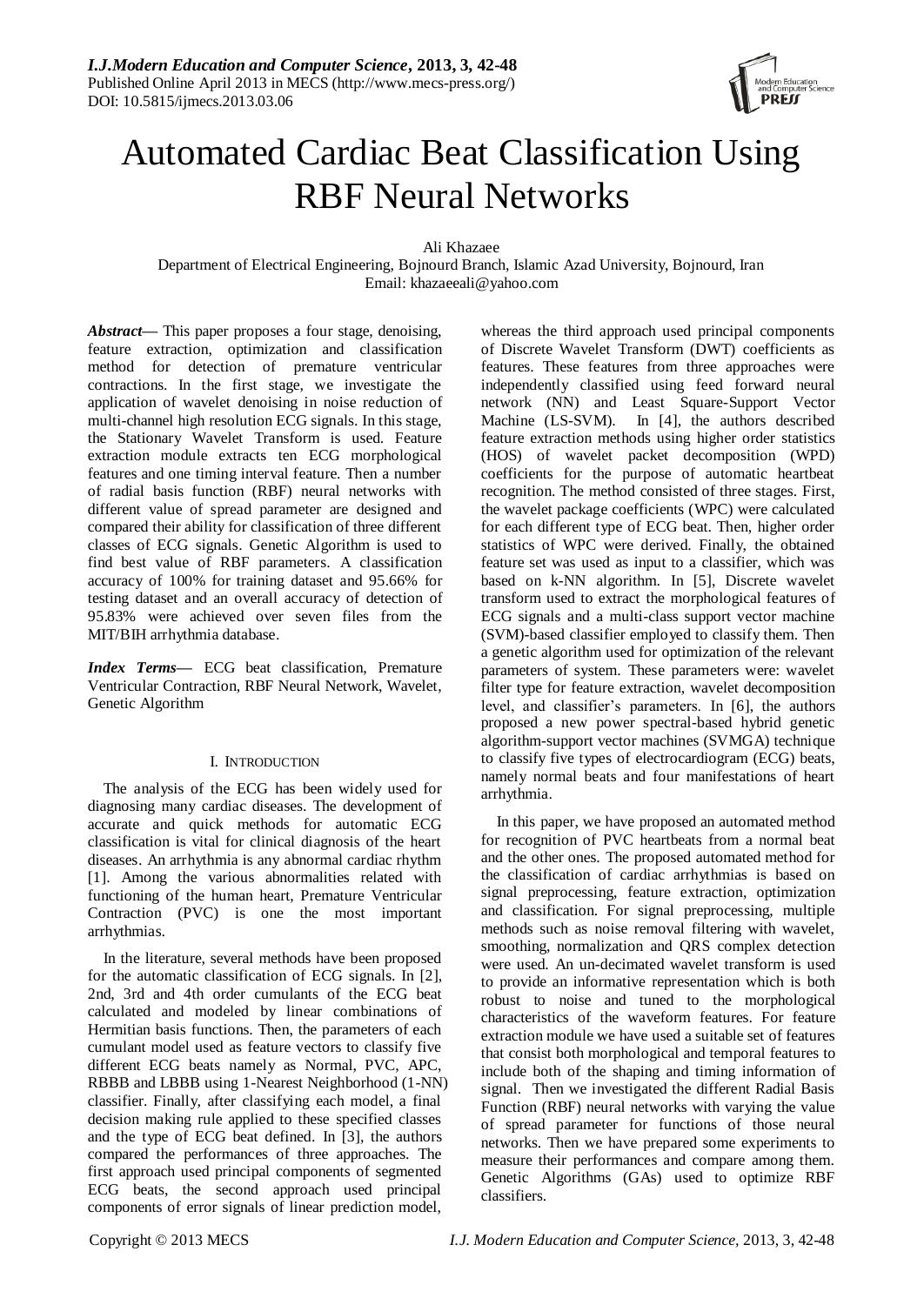

# Automated Cardiac Beat Classification Using RBF Neural Networks

Ali Khazaee

Department of Electrical Engineering, Bojnourd Branch, Islamic Azad University, Bojnourd, Iran Email: khazaeeali@yahoo.com

Abstract— This paper proposes a four stage, denoising, feature extraction, optimization and classification method for detection of premature ventricular contractions. In the first stage, we investigate the application of wavelet denoising in noise reduction of multi-channel high resolution ECG signals. In this stage, the Stationary Wavelet Transform is used. Feature extraction module extracts ten ECG morphological features and one timing interval feature. Then a number of radial basis function (RBF) neural networks with different value of spread parameter are designed and compared their ability for classification of three different classes of ECG signals. Genetic Algorithm is used to find best value of RBF parameters. A classification accuracy of 100% for training dataset and 95.66% for testing dataset and an overall accuracy of detection of 95.83% were achieved over seven files from the MIT/BIH arrhythmia database.

*Index Terms—* ECG beat classification, Premature Ventricular Contraction, RBF Neural Network, Wavelet, Genetic Algorithm

# I. INTRODUCTION

The analysis of the ECG has been widely used for diagnosing many cardiac diseases. The development of accurate and quick methods for automatic ECG classification is vital for clinical diagnosis of the heart diseases. An arrhythmia is any abnormal cardiac rhythm [1]. Among the various abnormalities related with functioning of the human heart, Premature Ventricular Contraction (PVC) is one the most important arrhythmias.

In the literature, several methods have been proposed for the automatic classification of ECG signals. In [2], 2nd, 3rd and 4th order cumulants of the ECG beat calculated and modeled by linear combinations of Hermitian basis functions. Then, the parameters of each cumulant model used as feature vectors to classify five different ECG beats namely as Normal, PVC, APC, RBBB and LBBB using 1-Nearest Neighborhood (1-NN) classifier. Finally, after classifying each model, a final decision making rule applied to these specified classes and the type of ECG beat defined. In [3], the authors compared the performances of three approaches. The first approach used principal components of segmented ECG beats, the second approach used principal components of error signals of linear prediction model,

whereas the third approach used principal components of Discrete Wavelet Transform (DWT) coefficients as features. These features from three approaches were independently classified using feed forward neural network (NN) and Least Square-Support Vector Machine (LS-SVM). In [4], the authors described feature extraction methods using higher order statistics (HOS) of wavelet packet decomposition (WPD) coefficients for the purpose of automatic heartbeat recognition. The method consisted of three stages. First, the wavelet package coefficients (WPC) were calculated for each different type of ECG beat. Then, higher order statistics of WPC were derived. Finally, the obtained feature set was used as input to a classifier, which was based on k-NN algorithm. In [5], Discrete wavelet transform used to extract the morphological features of ECG signals and a multi-class support vector machine (SVM)-based classifier employed to classify them. Then a genetic algorithm used for optimization of the relevant parameters of system. These parameters were: wavelet filter type for feature extraction, wavelet decomposition level, and classifier's parameters. In [6], the authors proposed a new power spectral-based hybrid genetic algorithm-support vector machines (SVMGA) technique to classify five types of electrocardiogram (ECG) beats, namely normal beats and four manifestations of heart arrhythmia.

In this paper, we have proposed an automated method for recognition of PVC heartbeats from a normal beat and the other ones. The proposed automated method for the classification of cardiac arrhythmias is based on signal preprocessing, feature extraction, optimization and classification. For signal preprocessing, multiple methods such as noise removal filtering with wavelet, smoothing, normalization and QRS complex detection were used. An un-decimated wavelet transform is used to provide an informative representation which is both robust to noise and tuned to the morphological characteristics of the waveform features. For feature extraction module we have used a suitable set of features that consist both morphological and temporal features to include both of the shaping and timing information of signal. Then we investigated the different Radial Basis Function (RBF) neural networks with varying the value of spread parameter for functions of those neural networks. Then we have prepared some experiments to measure their performances and compare among them. Genetic Algorithms (GAs) used to optimize RBF classifiers.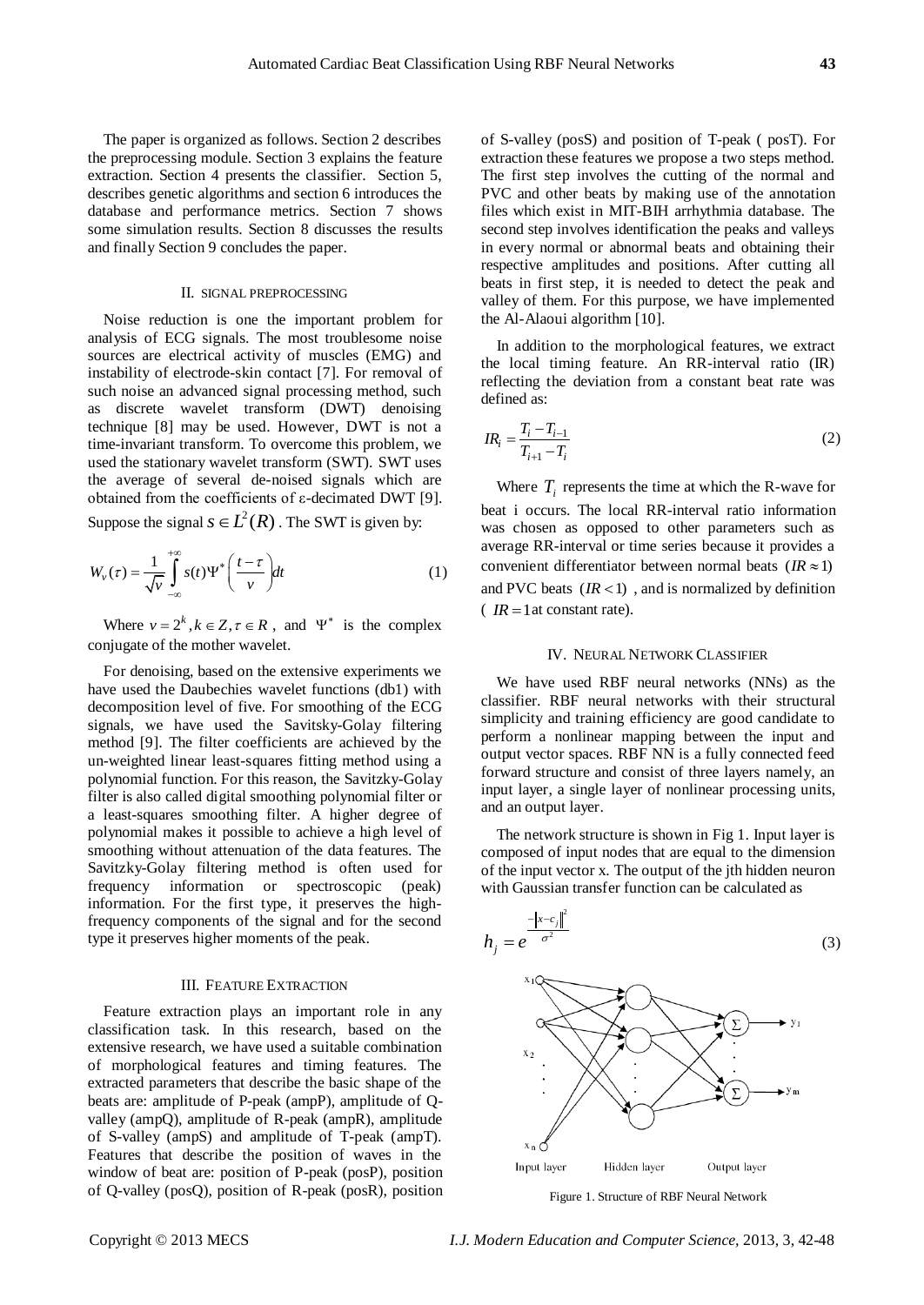The paper is organized as follows. Section 2 describes the preprocessing module. Section 3 explains the feature extraction. Section 4 presents the classifier. Section 5, describes genetic algorithms and section 6 introduces the database and performance metrics. Section 7 shows some simulation results. Section 8 discusses the results and finally Section 9 concludes the paper.

#### II. SIGNAL PREPROCESSING

Noise reduction is one the important problem for analysis of ECG signals. The most troublesome noise sources are electrical activity of muscles (EMG) and instability of electrode-skin contact [7]. For removal of such noise an advanced signal processing method, such as discrete wavelet transform (DWT) denoising technique [8] may be used. However, DWT is not a time-invariant transform. To overcome this problem, we used the stationary wavelet transform (SWT). SWT uses the average of several de-noised signals which are obtained from the coefficients of ε-decimated DWT [9].

Suppose the signal  $s \in L^2(R)$ . The SWT is given by:

$$
W_{\nu}(\tau) = \frac{1}{\sqrt{\nu}} \int_{-\infty}^{+\infty} s(t) \Psi^* \left( \frac{t - \tau}{\nu} \right) dt \tag{1}
$$

Where  $v = 2^k$ ,  $k \in \mathbb{Z}, \tau \in \mathbb{R}$ , and  $\Psi^*$  is the complex conjugate of the mother wavelet.

For denoising, based on the extensive experiments we have used the Daubechies wavelet functions (db1) with decomposition level of five. For smoothing of the ECG signals, we have used the Savitsky-Golay filtering method [9]. The filter coefficients are achieved by the un-weighted linear least-squares fitting method using a polynomial function. For this reason, the Savitzky-Golay filter is also called digital smoothing polynomial filter or a least-squares smoothing filter. A higher degree of polynomial makes it possible to achieve a high level of smoothing without attenuation of the data features. The Savitzky-Golay filtering method is often used for frequency information or spectroscopic (peak) information. For the first type, it preserves the highfrequency components of the signal and for the second type it preserves higher moments of the peak.

#### III. FEATURE EXTRACTION

Feature extraction plays an important role in any classification task. In this research, based on the extensive research, we have used a suitable combination of morphological features and timing features. The extracted parameters that describe the basic shape of the beats are: amplitude of P-peak (ampP), amplitude of Qvalley (ampQ), amplitude of R-peak (ampR), amplitude of S-valley (ampS) and amplitude of T-peak (ampT). Features that describe the position of waves in the window of beat are: position of P-peak (posP), position of Q-valley (posQ), position of R-peak (posR), position of S-valley (posS) and position of T-peak ( posT). For extraction these features we propose a two steps method. The first step involves the cutting of the normal and PVC and other beats by making use of the annotation files which exist in MIT-BIH arrhythmia database. The second step involves identification the peaks and valleys in every normal or abnormal beats and obtaining their respective amplitudes and positions. After cutting all beats in first step, it is needed to detect the peak and valley of them. For this purpose, we have implemented the Al-Alaoui algorithm [10].

In addition to the morphological features, we extract the local timing feature. An RR-interval ratio (IR) reflecting the deviation from a constant beat rate was defined as:

$$
IR_i = \frac{T_i - T_{i-1}}{T_{i+1} - T_i} \tag{2}
$$

Where  $T_i$  represents the time at which the R-wave for beat i occurs. The local RR-interval ratio information was chosen as opposed to other parameters such as average RR-interval or time series because it provides a convenient differentiator between normal beats  $(IR \approx 1)$ and PVC beats  $(IR < 1)$ , and is normalized by definition  $\left($  *IR* = 1 at constant rate).

# IV. NEURAL NETWORK CLASSIFIER

We have used RBF neural networks (NNs) as the classifier. RBF neural networks with their structural simplicity and training efficiency are good candidate to perform a nonlinear mapping between the input and output vector spaces. RBF NN is a fully connected feed forward structure and consist of three layers namely, an input layer, a single layer of nonlinear processing units, and an output layer.

The network structure is shown in Fig 1. Input layer is composed of input nodes that are equal to the dimension of the input vector x. The output of the jth hidden neuron with Gaussian transfer function can be calculated as



Figure 1. Structure of RBF Neural Network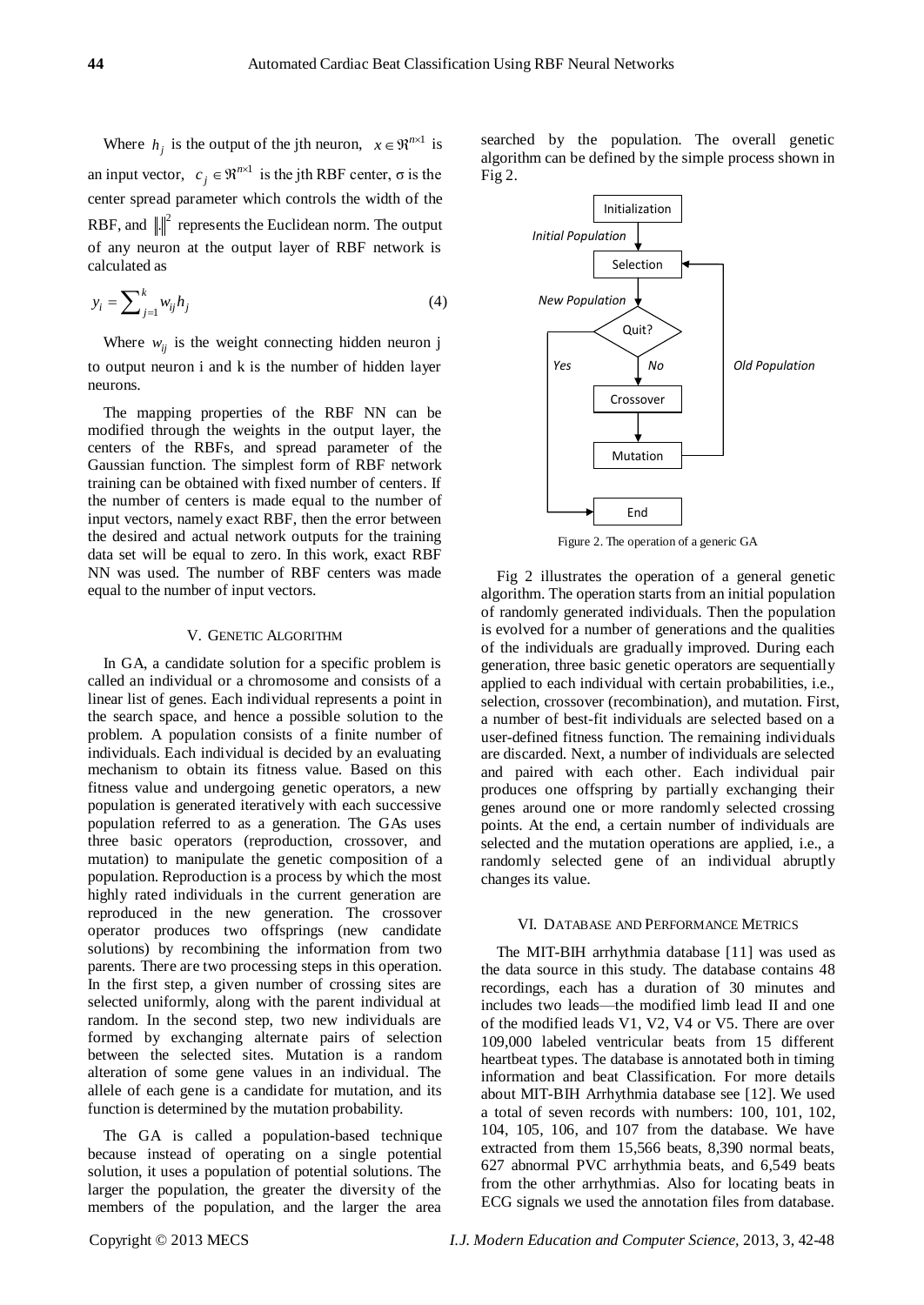Where  $h_j$  is the output of the jth neuron,  $x \in \mathbb{R}^{n \times 1}$  is an input vector,  $c_j \in \mathbb{R}^{n \times 1}$  is the jth RBF center,  $\sigma$  is the center spread parameter which controls the width of the RBF, and  $\Vert \cdot \Vert^2$  represents the Euclidean norm. The output of any neuron at the output layer of RBF network is calculated as

$$
y_i = \sum_{j=1}^k w_{ij} h_j \tag{4}
$$

Where  $w_{ij}$  is the weight connecting hidden neuron j to output neuron i and k is the number of hidden layer neurons.

The mapping properties of the RBF NN can be modified through the weights in the output layer, the centers of the RBFs, and spread parameter of the Gaussian function. The simplest form of RBF network training can be obtained with fixed number of centers. If the number of centers is made equal to the number of input vectors, namely exact RBF, then the error between the desired and actual network outputs for the training data set will be equal to zero. In this work, exact RBF NN was used. The number of RBF centers was made equal to the number of input vectors.

# V. GENETIC ALGORITHM

In GA, a candidate solution for a specific problem is called an individual or a chromosome and consists of a linear list of genes. Each individual represents a point in the search space, and hence a possible solution to the problem. A population consists of a finite number of individuals. Each individual is decided by an evaluating mechanism to obtain its fitness value. Based on this fitness value and undergoing genetic operators, a new population is generated iteratively with each successive population referred to as a generation. The GAs uses three basic operators (reproduction, crossover, and mutation) to manipulate the genetic composition of a population. Reproduction is a process by which the most highly rated individuals in the current generation are reproduced in the new generation. The crossover operator produces two offsprings (new candidate solutions) by recombining the information from two parents. There are two processing steps in this operation. In the first step, a given number of crossing sites are selected uniformly, along with the parent individual at random. In the second step, two new individuals are formed by exchanging alternate pairs of selection between the selected sites. Mutation is a random alteration of some gene values in an individual. The allele of each gene is a candidate for mutation, and its function is determined by the mutation probability.

The GA is called a population-based technique because instead of operating on a single potential solution, it uses a population of potential solutions. The larger the population, the greater the diversity of the members of the population, and the larger the area searched by the population. The overall genetic algorithm can be defined by the simple process shown in Fig 2.



Figure 2. The operation of a generic GA

Fig 2 illustrates the operation of a general genetic algorithm. The operation starts from an initial population of randomly generated individuals. Then the population is evolved for a number of generations and the qualities of the individuals are gradually improved. During each generation, three basic genetic operators are sequentially applied to each individual with certain probabilities, i.e., selection, crossover (recombination), and mutation. First, a number of best-fit individuals are selected based on a user-defined fitness function. The remaining individuals are discarded. Next, a number of individuals are selected and paired with each other. Each individual pair produces one offspring by partially exchanging their genes around one or more randomly selected crossing points. At the end, a certain number of individuals are selected and the mutation operations are applied, i.e., a randomly selected gene of an individual abruptly changes its value.

#### VI. DATABASE AND PERFORMANCE METRICS

The MIT-BIH arrhythmia database [11] was used as the data source in this study. The database contains 48 recordings, each has a duration of 30 minutes and includes two leads—the modified limb lead II and one of the modified leads V1, V2, V4 or V5. There are over 109,000 labeled ventricular beats from 15 different heartbeat types. The database is annotated both in timing information and beat Classification. For more details about MIT-BIH Arrhythmia database see [12]. We used a total of seven records with numbers: 100, 101, 102, 104, 105, 106, and 107 from the database. We have extracted from them 15,566 beats, 8,390 normal beats, 627 abnormal PVC arrhythmia beats, and 6,549 beats from the other arrhythmias. Also for locating beats in ECG signals we used the annotation files from database.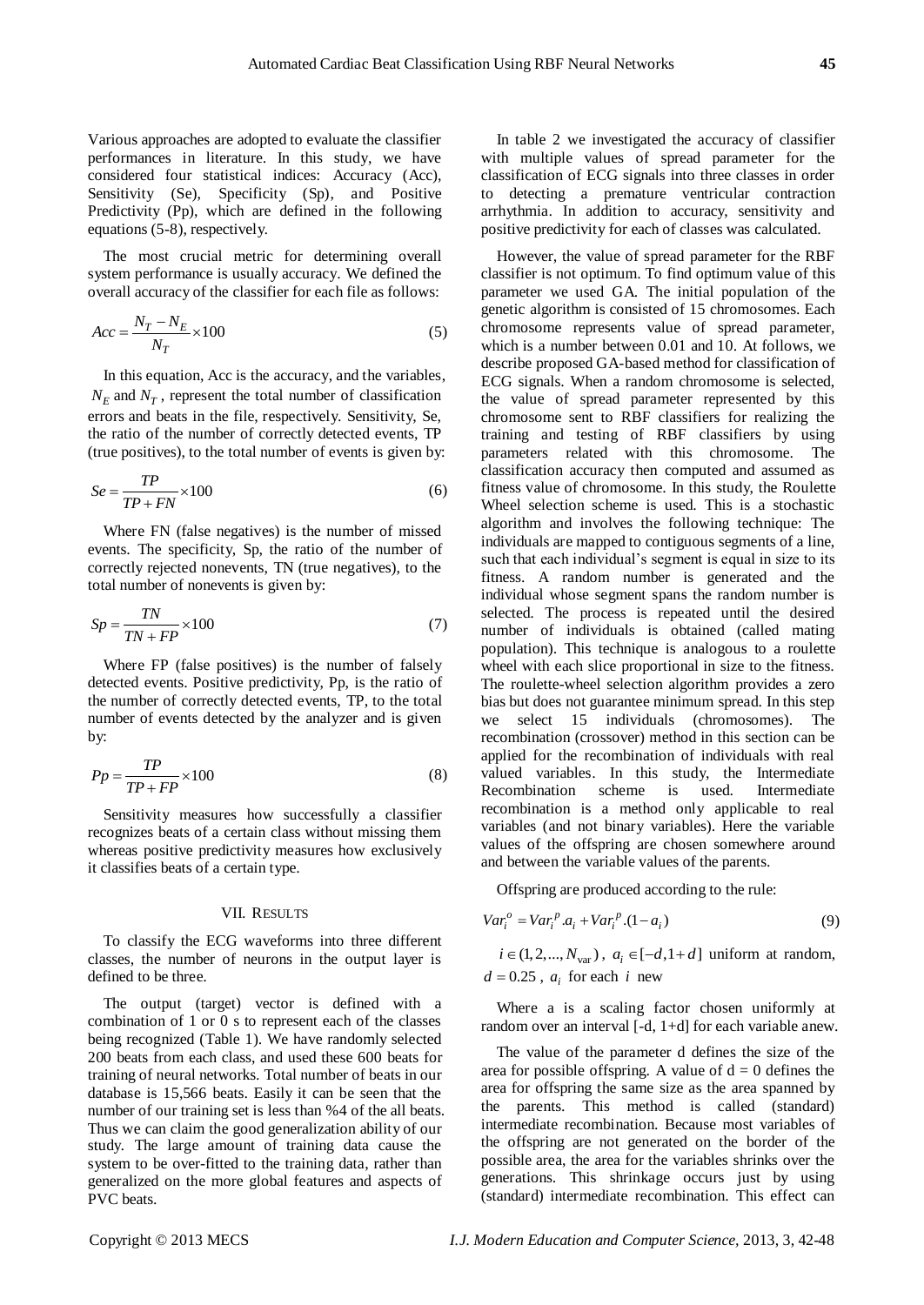Various approaches are adopted to evaluate the classifier performances in literature. In this study, we have considered four statistical indices: Accuracy (Acc), Sensitivity (Se), Specificity (Sp), and Positive Predictivity (Pp), which are defined in the following equations (5-8), respectively.

The most crucial metric for determining overall system performance is usually accuracy. We defined the overall accuracy of the classifier for each file as follows:

$$
Acc = \frac{N_T - N_E}{N_T} \times 100\tag{5}
$$

In this equation, Acc is the accuracy, and the variables,  $N_E$  and  $N_T$ , represent the total number of classification errors and beats in the file, respectively. Sensitivity, Se, the ratio of the number of correctly detected events, TP (true positives), to the total number of events is given by:

$$
Se = \frac{TP}{TP + FN} \times 100\tag{6}
$$

Where FN (false negatives) is the number of missed events. The specificity, Sp, the ratio of the number of correctly rejected nonevents, TN (true negatives), to the total number of nonevents is given by:

$$
Sp = \frac{TN}{TN + FP} \times 100\tag{7}
$$

Where FP (false positives) is the number of falsely detected events. Positive predictivity, Pp, is the ratio of the number of correctly detected events, TP, to the total number of events detected by the analyzer and is given by:

$$
Pp = \frac{TP}{TP + FP} \times 100\tag{8}
$$

Sensitivity measures how successfully a classifier recognizes beats of a certain class without missing them whereas positive predictivity measures how exclusively it classifies beats of a certain type.

#### VII. RESULTS

To classify the ECG waveforms into three different classes, the number of neurons in the output layer is defined to be three.

The output (target) vector is defined with a combination of 1 or 0 s to represent each of the classes being recognized (Table 1). We have randomly selected 200 beats from each class, and used these 600 beats for training of neural networks. Total number of beats in our database is 15,566 beats. Easily it can be seen that the number of our training set is less than %4 of the all beats. Thus we can claim the good generalization ability of our study. The large amount of training data cause the system to be over-fitted to the training data, rather than generalized on the more global features and aspects of PVC beats.

In table 2 we investigated the accuracy of classifier with multiple values of spread parameter for the classification of ECG signals into three classes in order to detecting a premature ventricular contraction arrhythmia. In addition to accuracy, sensitivity and positive predictivity for each of classes was calculated.

However, the value of spread parameter for the RBF classifier is not optimum. To find optimum value of this parameter we used GA. The initial population of the genetic algorithm is consisted of 15 chromosomes. Each chromosome represents value of spread parameter, which is a number between 0.01 and 10. At follows, we describe proposed GA-based method for classification of ECG signals. When a random chromosome is selected, the value of spread parameter represented by this chromosome sent to RBF classifiers for realizing the training and testing of RBF classifiers by using parameters related with this chromosome. The classification accuracy then computed and assumed as fitness value of chromosome. In this study, the Roulette Wheel selection scheme is used. This is a stochastic algorithm and involves the following technique: The individuals are mapped to contiguous segments of a line, such that each individual's segment is equal in size to its fitness. A random number is generated and the individual whose segment spans the random number is selected. The process is repeated until the desired number of individuals is obtained (called mating population). This technique is analogous to a roulette wheel with each slice proportional in size to the fitness. The roulette-wheel selection algorithm provides a zero bias but does not guarantee minimum spread. In this step we select 15 individuals (chromosomes). The recombination (crossover) method in this section can be applied for the recombination of individuals with real valued variables. In this study, the Intermediate Recombination scheme is used. Intermediate recombination is a method only applicable to real variables (and not binary variables). Here the variable values of the offspring are chosen somewhere around and between the variable values of the parents.

Offspring are produced according to the rule:

$$
Var_i^o = Var_i^p \cdot a_i + Var_i^p \cdot (1 - a_i)
$$
\n<sup>(9)</sup>

 $i \in (1, 2, ..., N_{var}), a_i \in [-d, 1 + d]$  uniform at random,  $d = 0.25$ ,  $a_i$  for each *i* new

Where a is a scaling factor chosen uniformly at random over an interval [-d, 1+d] for each variable anew.

The value of the parameter d defines the size of the area for possible offspring. A value of  $d = 0$  defines the area for offspring the same size as the area spanned by the parents. This method is called (standard) intermediate recombination. Because most variables of the offspring are not generated on the border of the possible area, the area for the variables shrinks over the generations. This shrinkage occurs just by using (standard) intermediate recombination. This effect can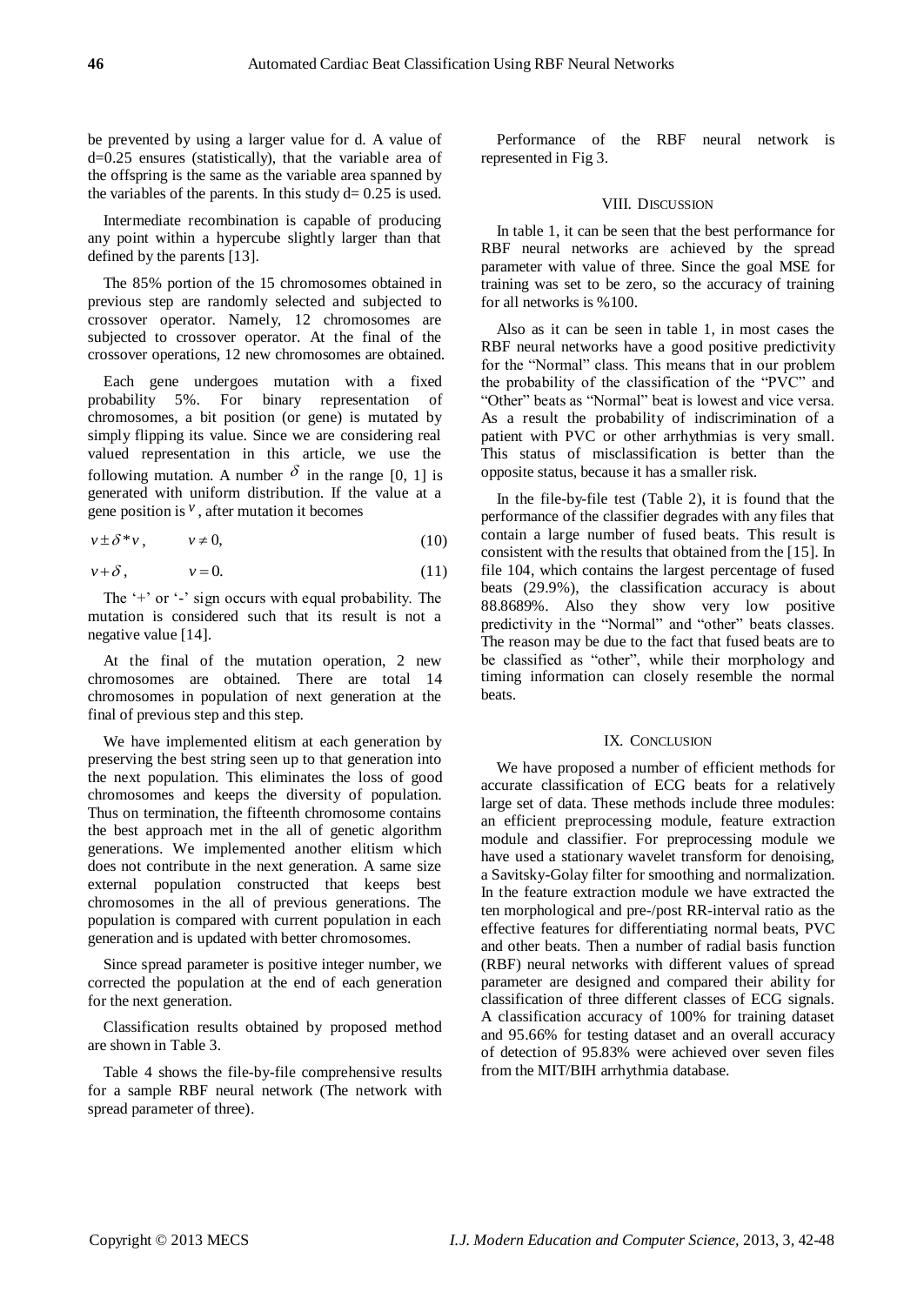be prevented by using a larger value for d. A value of d=0.25 ensures (statistically), that the variable area of the offspring is the same as the variable area spanned by the variables of the parents. In this study  $d= 0.25$  is used.

Intermediate recombination is capable of producing any point within a hypercube slightly larger than that defined by the parents [13].

The 85% portion of the 15 chromosomes obtained in previous step are randomly selected and subjected to crossover operator. Namely, 12 chromosomes are subjected to crossover operator. At the final of the crossover operations, 12 new chromosomes are obtained.

Each gene undergoes mutation with a fixed probability 5%. For binary representation of chromosomes, a bit position (or gene) is mutated by simply flipping its value. Since we are considering real valued representation in this article, we use the following mutation. A number  $\delta$  in the range [0, 1] is generated with uniform distribution. If the value at a gene position is  $\theta$ , after mutation it becomes

$$
v \pm \delta^* v, \qquad v \neq 0,\tag{10}
$$

$$
v+\delta, \qquad \qquad v=0. \tag{11}
$$

The  $+$  or  $-$  sign occurs with equal probability. The mutation is considered such that its result is not a negative value [14].

At the final of the mutation operation, 2 new chromosomes are obtained. There are total 14 chromosomes in population of next generation at the final of previous step and this step.

We have implemented elitism at each generation by preserving the best string seen up to that generation into the next population. This eliminates the loss of good chromosomes and keeps the diversity of population. Thus on termination, the fifteenth chromosome contains the best approach met in the all of genetic algorithm generations. We implemented another elitism which does not contribute in the next generation. A same size external population constructed that keeps best chromosomes in the all of previous generations. The population is compared with current population in each generation and is updated with better chromosomes.

Since spread parameter is positive integer number, we corrected the population at the end of each generation for the next generation.

Classification results obtained by proposed method are shown in Table 3.

Table 4 shows the file-by-file comprehensive results for a sample RBF neural network (The network with spread parameter of three).

Performance of the RBF neural network is represented in Fig 3.

#### VIII. DISCUSSION

In table 1, it can be seen that the best performance for RBF neural networks are achieved by the spread parameter with value of three. Since the goal MSE for training was set to be zero, so the accuracy of training for all networks is %100.

Also as it can be seen in table 1, in most cases the RBF neural networks have a good positive predictivity for the "Normal" class. This means that in our problem the probability of the classification of the "PVC" and "Other" beats as "Normal" beat is lowest and vice versa. As a result the probability of indiscrimination of a patient with PVC or other arrhythmias is very small. This status of misclassification is better than the opposite status, because it has a smaller risk.

In the file-by-file test (Table 2), it is found that the performance of the classifier degrades with any files that contain a large number of fused beats. This result is consistent with the results that obtained from the [15]. In file 104, which contains the largest percentage of fused beats (29.9%), the classification accuracy is about 88.8689%. Also they show very low positive predictivity in the "Normal" and "other" beats classes. The reason may be due to the fact that fused beats are to be classified as "other", while their morphology and timing information can closely resemble the normal beats.

# IX. CONCLUSION

We have proposed a number of efficient methods for accurate classification of ECG beats for a relatively large set of data. These methods include three modules: an efficient preprocessing module, feature extraction module and classifier. For preprocessing module we have used a stationary wavelet transform for denoising, a Savitsky-Golay filter for smoothing and normalization. In the feature extraction module we have extracted the ten morphological and pre-/post RR-interval ratio as the effective features for differentiating normal beats, PVC and other beats. Then a number of radial basis function (RBF) neural networks with different values of spread parameter are designed and compared their ability for classification of three different classes of ECG signals. A classification accuracy of 100% for training dataset and 95.66% for testing dataset and an overall accuracy of detection of 95.83% were achieved over seven files from the MIT/BIH arrhythmia database.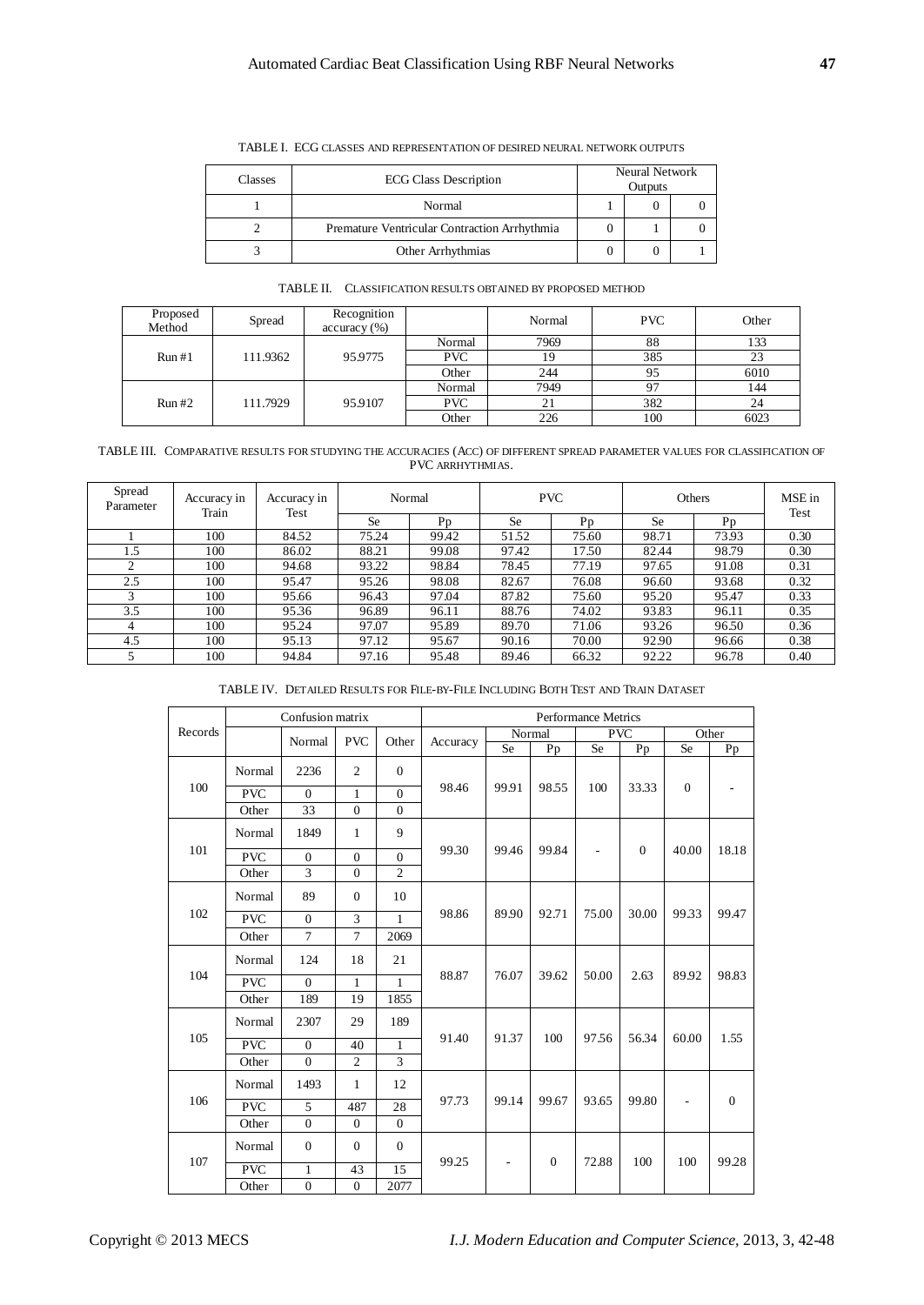| Classes | <b>ECG Class Description</b>                 | Neural Network<br>Outputs |  |  |  |
|---------|----------------------------------------------|---------------------------|--|--|--|
|         | Normal                                       |                           |  |  |  |
|         | Premature Ventricular Contraction Arrhythmia |                           |  |  |  |
|         | Other Arrhythmias                            |                           |  |  |  |

TABLE I. ECG CLASSES AND REPRESENTATION OF DESIRED NEURAL NETWORK OUTPUTS

|  | TABLE II. CLASSIFICATION RESULTS OBTAINED BY PROPOSED METHOD |
|--|--------------------------------------------------------------|
|--|--------------------------------------------------------------|

| Proposed<br>Method | Spread   | Recognition<br>accuracy (%) |            | Normal   | <b>PVC</b> | Other |
|--------------------|----------|-----------------------------|------------|----------|------------|-------|
| Run#1              |          |                             | Normal     | 7969     | 88         | 133   |
|                    | 111.9362 | 95.9775                     | <b>PVC</b> |          | 385        | 23    |
|                    |          |                             | Other      | 244      | 95         | 6010  |
| Run#2              | 111.7929 | 95.9107                     | Normal     | 7949     | 97         | 144   |
|                    |          |                             | <b>PVC</b> | $\angle$ | 382        | 24    |
|                    |          |                             | Other      | 226      | 100        | 6023  |

TABLE III. COMPARATIVE RESULTS FOR STUDYING THE ACCURACIES (ACC) OF DIFFERENT SPREAD PARAMETER VALUES FOR CLASSIFICATION OF PVC ARRHYTHMIAS.

| Spread<br>Parameter | Accuracy in<br>Train | Accuracy in<br>Test | Normal    |       | <b>PVC</b> |       | Others    |         | MSE in<br>Test |
|---------------------|----------------------|---------------------|-----------|-------|------------|-------|-----------|---------|----------------|
|                     |                      |                     | <b>Se</b> | Pn    | <b>Se</b>  | Pp    | <b>Se</b> | $P_{D}$ |                |
|                     | 100                  | 84.52               | 75.24     | 99.42 | 51.52      | 75.60 | 98.71     | 73.93   | 0.30           |
| 1.5                 | 100                  | 86.02               | 88.21     | 99.08 | 97.42      | 17.50 | 82.44     | 98.79   | 0.30           |
| $\overline{c}$      | 100                  | 94.68               | 93.22     | 98.84 | 78.45      | 77.19 | 97.65     | 91.08   | 0.31           |
| 2.5                 | 100                  | 95.47               | 95.26     | 98.08 | 82.67      | 76.08 | 96.60     | 93.68   | 0.32           |
| ς                   | 100                  | 95.66               | 96.43     | 97.04 | 87.82      | 75.60 | 95.20     | 95.47   | 0.33           |
| 3.5                 | 100                  | 95.36               | 96.89     | 96.11 | 88.76      | 74.02 | 93.83     | 96.11   | 0.35           |
| 4                   | 100                  | 95.24               | 97.07     | 95.89 | 89.70      | 71.06 | 93.26     | 96.50   | 0.36           |
| 4.5                 | 100                  | 95.13               | 97.12     | 95.67 | 90.16      | 70.00 | 92.90     | 96.66   | 0.38           |
|                     | 100                  | 94.84               | 97.16     | 95.48 | 89.46      | 66.32 | 92.22     | 96.78   | 0.40           |

TABLE IV. DETAILED RESULTS FOR FILE-BY-FILE INCLUDING BOTH TEST AND TRAIN DATASET

|         | Confusion matrix |                  |                |                | <b>Performance Metrics</b> |                          |              |                          |              |                          |              |
|---------|------------------|------------------|----------------|----------------|----------------------------|--------------------------|--------------|--------------------------|--------------|--------------------------|--------------|
| Records |                  | Normal           | <b>PVC</b>     | Other          | Accuracy                   | Normal                   |              | <b>PVC</b>               |              | Other                    |              |
|         |                  |                  |                |                |                            | Se                       | Pp           | Se                       | Pp           | Se                       | Pp           |
|         | Normal           | 2236             | $\overline{2}$ | $\mathbf{0}$   | 98.46                      | 99.91                    | 98.55        | 100                      | 33.33        | $\boldsymbol{0}$         |              |
| 100     | <b>PVC</b>       | $\Omega$         | $\mathbf{1}$   | $\Omega$       |                            |                          |              |                          |              |                          |              |
|         | Other            | 33               | $\mathbf{0}$   | $\overline{0}$ |                            |                          |              |                          |              |                          |              |
|         | Normal           | 1849             | 1              | 9              | 99.30                      | 99.46                    | 99.84        | $\overline{\phantom{a}}$ | $\mathbf{0}$ | 40.00                    | 18.18        |
| 101     | <b>PVC</b>       | $\Omega$         | $\mathbf{0}$   | $\Omega$       |                            |                          |              |                          |              |                          |              |
|         | Other            | 3                | $\mathbf{0}$   | $\overline{c}$ |                            |                          |              |                          |              |                          |              |
|         | Normal           | 89               | $\mathbf{0}$   | 10             | 98.86                      | 89.90                    | 92.71        | 75.00                    | 30.00        | 99.33                    | 99.47        |
| 102     | <b>PVC</b>       | $\mathbf{0}$     | $\overline{3}$ | $\mathbf{1}$   |                            |                          |              |                          |              |                          |              |
|         | Other            | $\overline{7}$   | $\tau$         | 2069           |                            |                          |              |                          |              |                          |              |
|         | Normal           | 124              | 18             | 21             | 88.87                      | 76.07                    | 39.62        | 50.00                    | 2.63         | 89.92                    | 98.83        |
| 104     | <b>PVC</b>       | $\mathbf{0}$     | $\mathbf{1}$   | $\mathbf{1}$   |                            |                          |              |                          |              |                          |              |
|         | Other            | 189              | 19             | 1855           |                            |                          |              |                          |              |                          |              |
|         | Normal           | 2307             | 29             | 189            | 91.40                      | 91.37                    | 100          | 97.56                    | 56.34        | 60.00                    | 1.55         |
| 105     | <b>PVC</b>       | $\mathbf{0}$     | 40             | $\mathbf{1}$   |                            |                          |              |                          |              |                          |              |
|         | Other            | $\Omega$         | $\overline{2}$ | $\overline{3}$ |                            |                          |              |                          |              |                          |              |
| 106     | Normal           | 1493             | $\mathbf{1}$   | 12             | 97.73                      | 99.14                    | 99.67        | 93.65                    | 99.80        | $\overline{\phantom{a}}$ | $\mathbf{0}$ |
|         | <b>PVC</b>       | 5                | 487            | 28             |                            |                          |              |                          |              |                          |              |
|         | Other            | $\mathbf{0}$     | $\mathbf{0}$   | $\mathbf{0}$   |                            |                          |              |                          |              |                          |              |
|         | Normal           | $\mathbf{0}$     | $\mathbf{0}$   | $\mathbf{0}$   |                            | $\overline{\phantom{a}}$ | $\mathbf{0}$ | 72.88                    | 100          | 100                      | 99.28        |
| 107     | <b>PVC</b>       | $\mathbf{1}$     | 43             | 15             | 99.25                      |                          |              |                          |              |                          |              |
|         | Other            | $\boldsymbol{0}$ | $\overline{0}$ | 2077           |                            |                          |              |                          |              |                          |              |